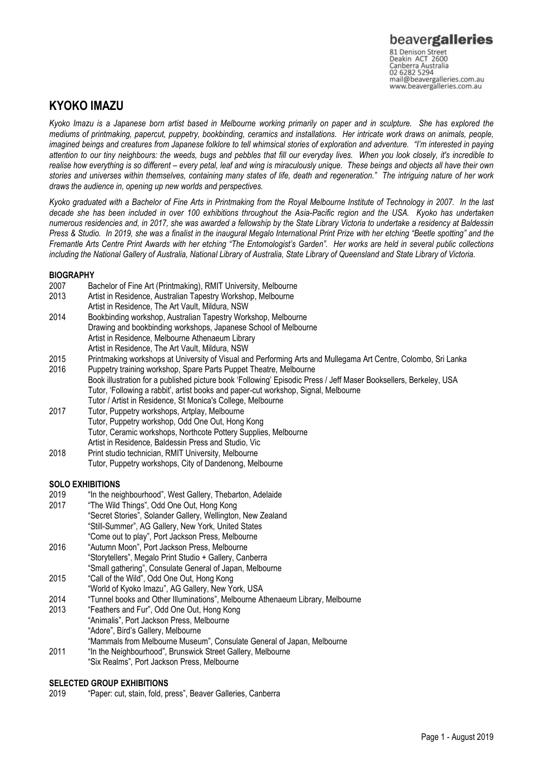# **KYOKO IMAZU**

*Kyoko Imazu is a Japanese born artist based in Melbourne working primarily on paper and in sculpture. She has explored the mediums of printmaking, papercut, puppetry, bookbinding, ceramics and installations. Her intricate work draws on animals, people, imagined beings and creatures from Japanese folklore to tell whimsical stories of exploration and adventure. "I'm interested in paying attention to our tiny neighbours: the weeds, bugs and pebbles that fill our everyday lives. When you look closely, it's incredible to*  realise how everything is so different – every petal, leaf and wing is miraculously unique. These beings and objects all have their own *stories and universes within themselves, containing many states of life, death and regeneration." The intriguing nature of her work draws the audience in, opening up new worlds and perspectives.* 

*Kyoko graduated with a Bachelor of Fine Arts in Printmaking from the Royal Melbourne Institute of Technology in 2007. In the last decade she has been included in over 100 exhibitions throughout the Asia-Pacific region and the USA. Kyoko has undertaken numerous residencies and, in 2017, she was awarded a fellowship by the State Library Victoria to undertake a residency at Baldessin Press & Studio. In 2019, she was a finalist in the inaugural Megalo International Print Prize with her etching "Beetle spotting" and the Fremantle Arts Centre Print Awards with her etching "The Entomologist's Garden". Her works are held in several public collections including the National Gallery of Australia, National Library of Australia, State Library of Queensland and State Library of Victoria.* 

## **BIOGRAPHY**

| 2007 | Bachelor of Fine Art (Printmaking), RMIT University, Melbourne                                                    |
|------|-------------------------------------------------------------------------------------------------------------------|
| 2013 | Artist in Residence, Australian Tapestry Workshop, Melbourne                                                      |
|      | Artist in Residence, The Art Vault, Mildura, NSW                                                                  |
| 2014 | Bookbinding workshop, Australian Tapestry Workshop, Melbourne                                                     |
|      | Drawing and bookbinding workshops, Japanese School of Melbourne                                                   |
|      | Artist in Residence, Melbourne Athenaeum Library                                                                  |
|      | Artist in Residence, The Art Vault, Mildura, NSW                                                                  |
| 2015 | Printmaking workshops at University of Visual and Performing Arts and Mullegama Art Centre, Colombo, Sri Lanka    |
| 2016 | Puppetry training workshop, Spare Parts Puppet Theatre, Melbourne                                                 |
|      | Book illustration for a published picture book 'Following' Episodic Press / Jeff Maser Booksellers, Berkeley, USA |
|      | Tutor, 'Following a rabbit', artist books and paper-cut workshop, Signal, Melbourne                               |
|      | Tutor / Artist in Residence, St Monica's College, Melbourne                                                       |
| 2017 | Tutor, Puppetry workshops, Artplay, Melbourne                                                                     |
|      | Tutor, Puppetry workshop, Odd One Out, Hong Kong                                                                  |
|      | Tutor, Ceramic workshops, Northcote Pottery Supplies, Melbourne                                                   |
|      | Artist in Residence, Baldessin Press and Studio, Vic                                                              |
| 2018 | Print studio technician, RMIT University, Melbourne                                                               |
|      | Tutor, Puppetry workshops, City of Dandenong, Melbourne                                                           |

# **SOLO EXHIBITIONS**<br>2019 <sup>"In the nei</sup>

- 2019 "In the neighbourhood", West Gallery, Thebarton, Adelaide<br>2017 "The Wild Things" Odd One Out Hong Kong
- "The Wild Things", Odd One Out, Hong Kong "Secret Stories", Solander Gallery, Wellington, New Zealand "Still-Summer", AG Gallery, New York, United States "Come out to play", Port Jackson Press, Melbourne
- 2016 "Autumn Moon", Port Jackson Press, Melbourne "Storytellers", Megalo Print Studio + Gallery, Canberra "Small gathering", Consulate General of Japan, Melbourne
- 2015 "Call of the Wild", Odd One Out, Hong Kong
- "World of Kyoko Imazu", AG Gallery, New York, USA
- 2014 "Tunnel books and Other Illuminations", Melbourne Athenaeum Library, Melbourne
- 2013 "Feathers and Fur", Odd One Out, Hong Kong "Animalis", Port Jackson Press, Melbourne "Adore", Bird's Gallery, Melbourne "Mammals from Melbourne Museum", Consulate General of Japan, Melbourne
- 2011 "In the Neighbourhood", Brunswick Street Gallery, Melbourne "Six Realms", Port Jackson Press, Melbourne

# **SELECTED GROUP EXHIBITIONS**

2019 "Paper: cut, stain, fold, press", Beaver Galleries, Canberra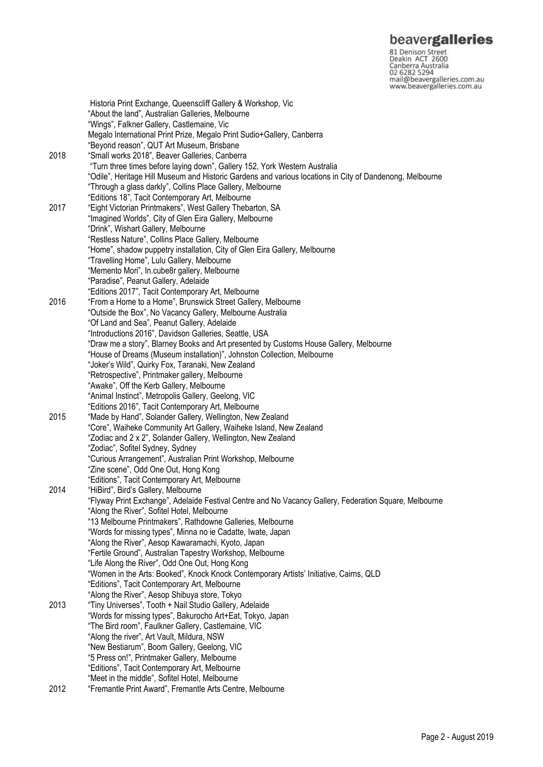**beavergalleries**<br>
81 Denison Street<br>
Deakin ACT 2600<br>
Canberra Australia<br>
02 6282 5294<br>
mail@beavergalleries.com.au<br>
www.beavergalleries.com.au

|      | Historia Print Exchange, Queenscliff Gallery & Workshop, Vic                                                       |
|------|--------------------------------------------------------------------------------------------------------------------|
|      | "About the land", Australian Galleries, Melbourne                                                                  |
|      | "Wings", Falkner Gallery, Castlemaine, Vic                                                                         |
|      | Megalo International Print Prize, Megalo Print Sudio+Gallery, Canberra                                             |
|      | "Beyond reason", QUT Art Museum, Brisbane                                                                          |
| 2018 | "Small works 2018", Beaver Galleries, Canberra                                                                     |
|      | "Turn three times before laying down", Gallery 152, York Western Australia                                         |
|      | "Odile", Heritage Hill Museum and Historic Gardens and various locations in City of Dandenong, Melbourne           |
|      | "Through a glass darkly", Collins Place Gallery, Melbourne                                                         |
|      | "Editions 18", Tacit Contemporary Art, Melbourne                                                                   |
| 2017 | "Eight Victorian Printmakers", West Gallery Thebarton, SA                                                          |
|      | "Imagined Worlds", City of Glen Eira Gallery, Melbourne                                                            |
|      | "Drink", Wishart Gallery, Melbourne                                                                                |
|      | "Restless Nature", Collins Place Gallery, Melbourne                                                                |
|      | "Home", shadow puppetry installation, City of Glen Eira Gallery, Melbourne                                         |
|      | "Travelling Home", Lulu Gallery, Melbourne                                                                         |
|      | "Memento Mori", In.cube8r gallery, Melbourne                                                                       |
|      | "Paradise", Peanut Gallery, Adelaide                                                                               |
|      |                                                                                                                    |
| 2016 | "Editions 2017", Tacit Contemporary Art, Melbourne<br>"From a Home to a Home", Brunswick Street Gallery, Melbourne |
|      | "Outside the Box", No Vacancy Gallery, Melbourne Australia                                                         |
|      |                                                                                                                    |
|      | "Of Land and Sea", Peanut Gallery, Adelaide                                                                        |
|      | "Introductions 2016", Davidson Galleries, Seattle, USA                                                             |
|      | "Draw me a story", Blarney Books and Art presented by Customs House Gallery, Melbourne                             |
|      | "House of Dreams (Museum installation)", Johnston Collection, Melbourne                                            |
|      | "Joker's Wild", Quirky Fox, Taranaki, New Zealand                                                                  |
|      | "Retrospective", Printmaker gallery, Melbourne                                                                     |
|      | "Awake", Off the Kerb Gallery, Melbourne                                                                           |
|      | "Animal Instinct", Metropolis Gallery, Geelong, VIC                                                                |
|      | "Editions 2016", Tacit Contemporary Art, Melbourne                                                                 |
| 2015 | "Made by Hand", Solander Gallery, Wellington, New Zealand                                                          |
|      | "Core", Waiheke Community Art Gallery, Waiheke Island, New Zealand                                                 |
|      | "Zodiac and 2 x 2", Solander Gallery, Wellington, New Zealand                                                      |
|      | "Zodiac", Sofitel Sydney, Sydney                                                                                   |
|      | "Curious Arrangement", Australian Print Workshop, Melbourne                                                        |
|      | "Zine scene", Odd One Out, Hong Kong                                                                               |
|      | "Editions", Tacit Contemporary Art, Melbourne                                                                      |
| 2014 | "HiBird", Bird's Gallery, Melbourne                                                                                |
|      | "Flyway Print Exchange", Adelaide Festival Centre and No Vacancy Gallery, Federation Square, Melbourne             |
|      | "Along the River", Sofitel Hotel, Melbourne                                                                        |
|      | "13 Melbourne Printmakers", Rathdowne Galleries, Melbourne                                                         |
|      | "Words for missing types", Minna no ie Cadatte, Iwate, Japan                                                       |
|      | "Along the River", Aesop Kawaramachi, Kyoto, Japan                                                                 |
|      | "Fertile Ground", Australian Tapestry Workshop, Melbourne                                                          |
|      | "Life Along the River", Odd One Out, Hong Kong                                                                     |
|      | "Women in the Arts: Booked", Knock Knock Contemporary Artists' Initiative, Cairns, QLD                             |
|      | "Editions", Tacit Contemporary Art, Melbourne                                                                      |
|      | "Along the River", Aesop Shibuya store, Tokyo                                                                      |
| 2013 | "Tiny Universes", Tooth + Nail Studio Gallery, Adelaide                                                            |
|      | "Words for missing types", Bakurocho Art+Eat, Tokyo, Japan                                                         |
|      | "The Bird room", Faulkner Gallery, Castlemaine, VIC                                                                |
|      | "Along the river", Art Vault, Mildura, NSW                                                                         |
|      | "New Bestiarum", Boom Gallery, Geelong, VIC                                                                        |
|      | "5 Press on!", Printmaker Gallery, Melbourne                                                                       |
|      | "Editions", Tacit Contemporary Art, Melbourne                                                                      |
|      | "Meet in the middle", Sofitel Hotel, Melbourne                                                                     |
| 2012 | "Fremantle Print Award", Fremantle Arts Centre, Melbourne                                                          |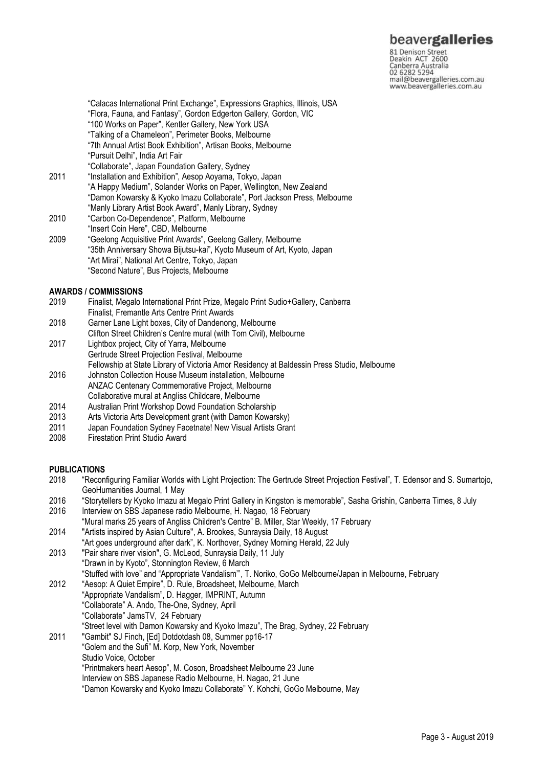81 Denison Street<br>Deakin ACT 2600 Canberra Australia mail@beavergalleries.com.au www.beavergalleries.com.au

"Calacas International Print Exchange", Expressions Graphics, Illinois, USA "Flora, Fauna, and Fantasy", Gordon Edgerton Gallery, Gordon, VIC "100 Works on Paper", Kentler Gallery, New York USA "Talking of a Chameleon", Perimeter Books, Melbourne "7th Annual Artist Book Exhibition", Artisan Books, Melbourne "Pursuit Delhi", India Art Fair "Collaborate", Japan Foundation Gallery, Sydney 2011 "Installation and Exhibition", Aesop Aoyama, Tokyo, Japan "A Happy Medium", Solander Works on Paper, Wellington, New Zealand "Damon Kowarsky & Kyoko Imazu Collaborate", Port Jackson Press, Melbourne "Manly Library Artist Book Award", Manly Library, Sydney 2010 "Carbon Co-Dependence", Platform, Melbourne "Insert Coin Here", CBD, Melbourne 2009 "Geelong Acquisitive Print Awards", Geelong Gallery, Melbourne "35th Anniversary Showa Bijutsu-kai", Kyoto Museum of Art, Kyoto, Japan "Art Mirai", National Art Centre, Tokyo, Japan "Second Nature", Bus Projects, Melbourne

#### **AWARDS / COMMISSIONS**

- 2019 Finalist, Megalo International Print Prize, Megalo Print Sudio+Gallery, Canberra Finalist, Fremantle Arts Centre Print Awards
- 2018 Garner Lane Light boxes, City of Dandenong, Melbourne
- Clifton Street Children's Centre mural (with Tom Civil), Melbourne
- 2017 Lightbox project, City of Yarra, Melbourne Gertrude Street Projection Festival, Melbourne
- Fellowship at State Library of Victoria Amor Residency at Baldessin Press Studio, Melbourne
- 2016 Johnston Collection House Museum installation, Melbourne ANZAC Centenary Commemorative Project, Melbourne Collaborative mural at Angliss Childcare, Melbourne
- 
- 2014 Australian Print Workshop Dowd Foundation Scholarship
- 2013 Arts Victoria Arts Development grant (with Damon Kowarsky)
- Japan Foundation Sydney Facetnate! New Visual Artists Grant
- 2008 Firestation Print Studio Award

### **PUBLICATIONS**

- 2018 "Reconfiguring Familiar Worlds with Light Projection: The Gertrude Street Projection Festival", T. Edensor and S. Sumartojo, GeoHumanities Journal, 1 May
- 2016 "Storytellers by Kyoko Imazu at Megalo Print Gallery in Kingston is memorable", Sasha Grishin, Canberra Times, 8 July 2016 Interview on SBS Japanese radio Melbourne, H. Nagao, 18 February
- "Mural marks 25 years of Angliss Children's Centre" B. Miller, Star Weekly, 17 February 2014 "Artists inspired by Asian Culture", A. Brookes, Sunraysia Daily, 18 August
- "Art goes underground after dark", K. Northover, Sydney Morning Herald, 22 July
- 2013 "Pair share river vision", G. McLeod, Sunraysia Daily, 11 July "Drawn in by Kyoto", Stonnington Review, 6 March
- "Stuffed with love" and "Appropriate Vandalism"', T. Noriko, GoGo Melbourne/Japan in Melbourne, February 2012 "Aesop: A Quiet Empire", D. Rule, Broadsheet, Melbourne, March
	- "Appropriate Vandalism", D. Hagger, IMPRINT, Autumn "Collaborate" A. Ando, The-One, Sydney, April
		- "Collaborate" JamsTV, 24 February
	- "Street level with Damon Kowarsky and Kyoko Imazu", The Brag, Sydney, 22 February
- 2011 "Gambit" SJ Finch, [Ed] Dotdotdash 08, Summer pp16-17 "Golem and the Sufi" M. Korp, New York, November
	- Studio Voice, October
		- "Printmakers heart Aesop", M. Coson, Broadsheet Melbourne 23 June
		- Interview on SBS Japanese Radio Melbourne, H. Nagao, 21 June

"Damon Kowarsky and Kyoko Imazu Collaborate" Y. Kohchi, GoGo Melbourne, May